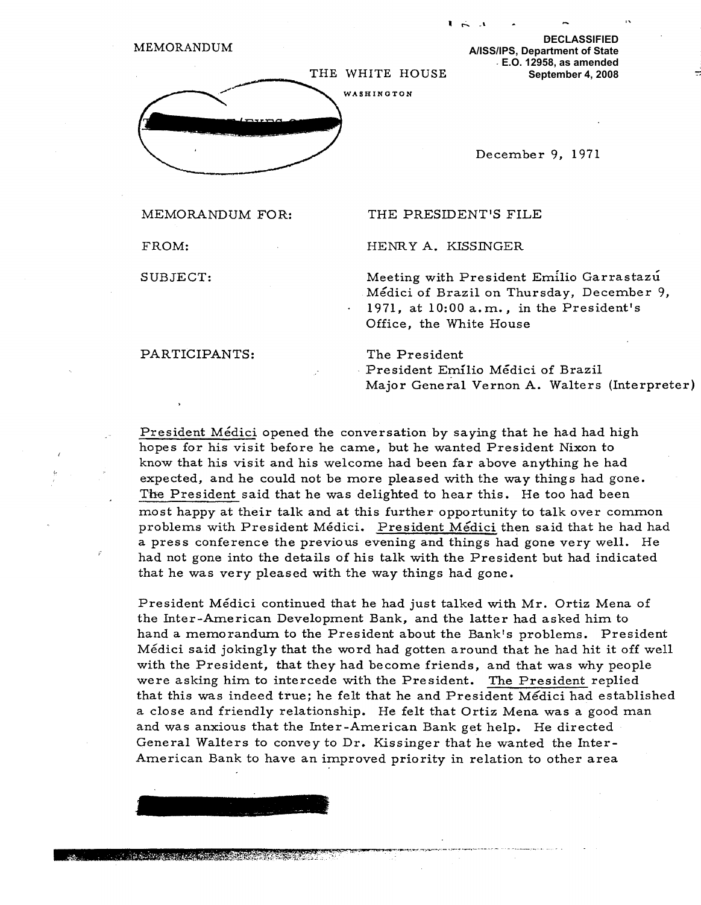

**FROM: HENRY A.** К**ISSINGER**

**SUBJECT: Meeting with President Emilio Garrastaz** ŭ **Mëdici of Brazil on Thursday, December 9, • 1971, at 10:00 a.m., in the President's Office, the White House**

**PARTICIPANTS: The President**

**CASTING OF BACK TO A START OF BACK** 

**President Emilio Mëdici of Brazil Major General Vernon A. Walters (Interpreter)**

**President Mëdici opened the conversation by saying that he had had high hopes for his visit before he came, but he wanted President Nixon to know that his visit and his welcome had been far above anything he had expected, and he could not be more pleased with the way things had gone. The President said that he was delighted to hear this. He too had been most happy at their talk and at this further opportunity to talk over common problems with President Mëdici. President Mëdici then said that he had had a press conference the previous evening and things had gone very well. He had not gone into the details of his talk with the President but had indicated that he was very pleased with the way things had gone.**

**President M**ё**dici continued that he had just talked with Mr. Ortiz Mena of the Inter-American Development Bank, and the latter had asked him to hand a memorandum to the President about the Bank's problems. President Mëdici said jokingly that the word had gotten around that he had hit it off well with the President, that they had become friends, and that was why people were asking him to intercede with the President. The President replied that this was indeed true; he felt that he and President Mëdici had established a close and friendly relationship. He felt that Ortiz Mena was a good man and was anxious that the Inter-American Bank get help. He directed General Walters to convey to Dr. Kissinger that he wanted the Inter-American Bank to have an improved priority in relation to other area**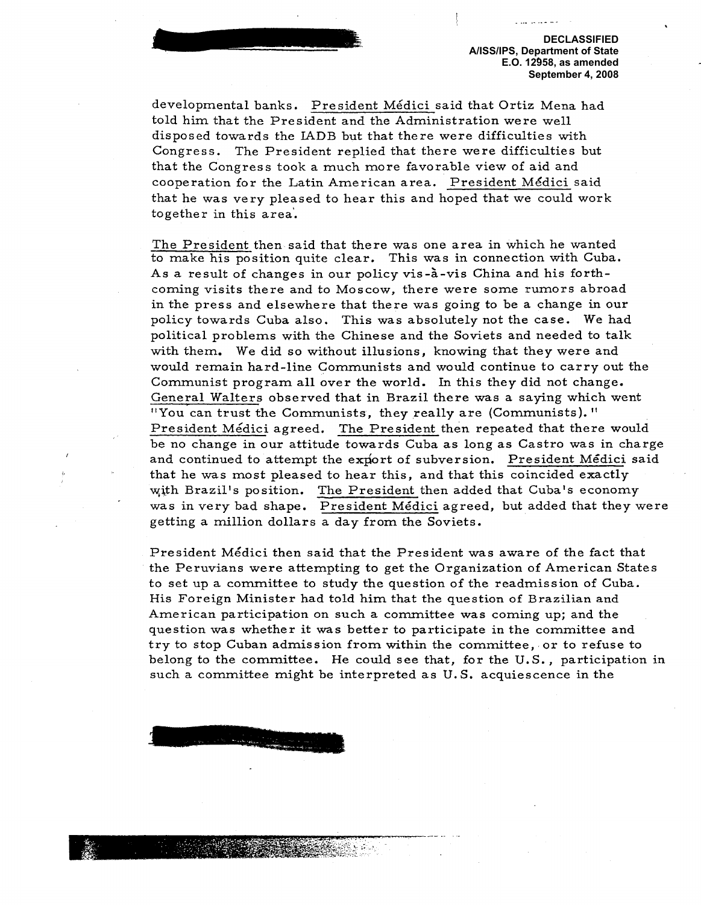developmental banks. President Mëdici said that Ortiz Mena had told him that the President and the Administration were well disposed towards the IADB but that there were difficulties with Congress. The President replied that there were difficulties but that the Congress took a much more favorable view of aid and cooperation for the Latin American area. President Mëdici said that he was very pleased to hear this and hoped that we could work together in this area'.

The President then said that there was one area in which he wanted to make his position quite clear. This was in connection with Cuba. As a result of changes in our policy vis-à-vis China and his forthcoming visits there and to Moscow, there were some rumors abroad in the press and elsewhere that there was going to be a change in our policy towards Cuba also. This was absolutely not the case. We had political problems with the Chinese and the Soviets and needed to talk with them. We did so without illusions, knowing that they were and would remain hard-line Communists and would continue to carry out the Communist program all over the world. In this they did not change. General Walters observed that in Brazil there was a saying which went "You can trust the Communists, they really are (Communists)." President Mëdici agreed. The President then repeated that there would be no change in our attitude towards Cuba as long as Castro was in charge and continued to attempt the export of subversion. President Médici said that he was most pleased to hear this, and that this coincided exactly with Brazil's position. The President then added that Cuba's economy was in very bad shape. President Mëdici agreed, but added that they were getting a million dollars a day from the Soviets.

President Mëdici then said that the President was aware of the fact that the Peruvians were attempting to get the Organization of American States to set up a committee to study the question of the readmission of Cuba. His Foreign Minister had told him that the question of Brazilian and American participation on such a committee was coming up; and the question was whether it was better to participate in the committee and try to stop Cuban admission from within the committee, or to refuse to belong to the committee. He could see that, for the U. S. , participation in such a committee might be interpreted as U. S. acquiescence in the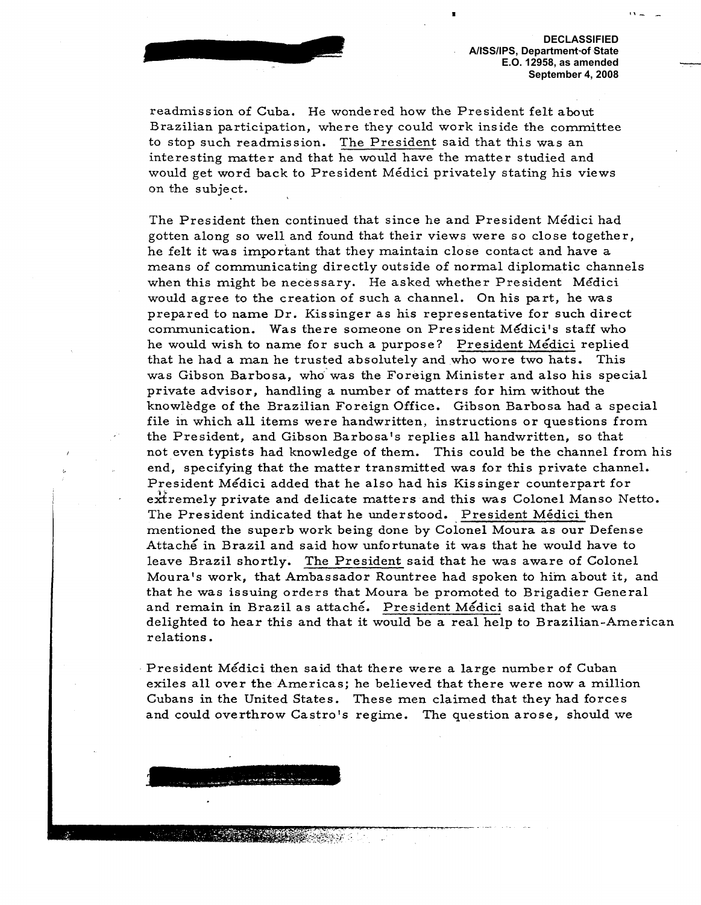readmission of Cuba. He wondered how the President felt about **Brazilian participation, where they could work inside the committee to stop such readmission. The President said that this was an interesting matter and that he would have the matter studied and would get word back to President M** <sup>ё</sup>**dici privately stating his views on the subject.**

**The President then continued that since he and President M**ё**dici had gotten along so well and found that their views were s o close together, he felt it was important that they maintain close contact and have a means of communicating directly outside of normal diplomatic channels when this might be necessary. He asked whether President Mëdici would agree to the creation of such a channel. On his part, he was prepared to name Dr. Kissinger as his representative for such direct communication. Was there someone on President** М **dici's staff who he would wish to name for such a purpose? President Mëdici replied that he had a man he trusted absolutely and** who **wore two hats . This was Gibson Barbosa, who was the Foreign Minister and also his special private advisor, handling a number of matters for him without the knowlëdge of the Brazilian Foreign Office. Gibson Barbosa had a special file in which all items were handwritten, instructions or questions from the President, and Gibson Barbosa's replies all handwritten, so that not even typists had knowledge of them. This could be the channel from his end, specifying that the matter transmitted was for this private channel. President Mëdici added that he also had his Kissinger counterpart for extremely private and delicate matters and this was Colonel Manso Netto.** The President indicated that he understood. President Médici then **mentioned the superb work being done by Colonel Moura as our Defense Attach' in Brazil and said how unfortunate it was that he would have to leave Brazil shortly. The President said that he was aware of Colonel Moura's work, that Ambassador Rountree had spoken to him about it, and that he was issuing orders that Moura be promoted to Brigadier General and remain in Brazil as attach'. President Mëdici said that he was delighted to hear this and that it would be a real help to Brazilian-American relations.**

**President Mëdici then said that there were a large number of Cuban exiles all over the Americas; he believed that there were now a million Cubans in the United states. These men claimed that they had forces and could overthrow Castro's regime. The question arose, should we**

**THE REPORT OF STRAIN**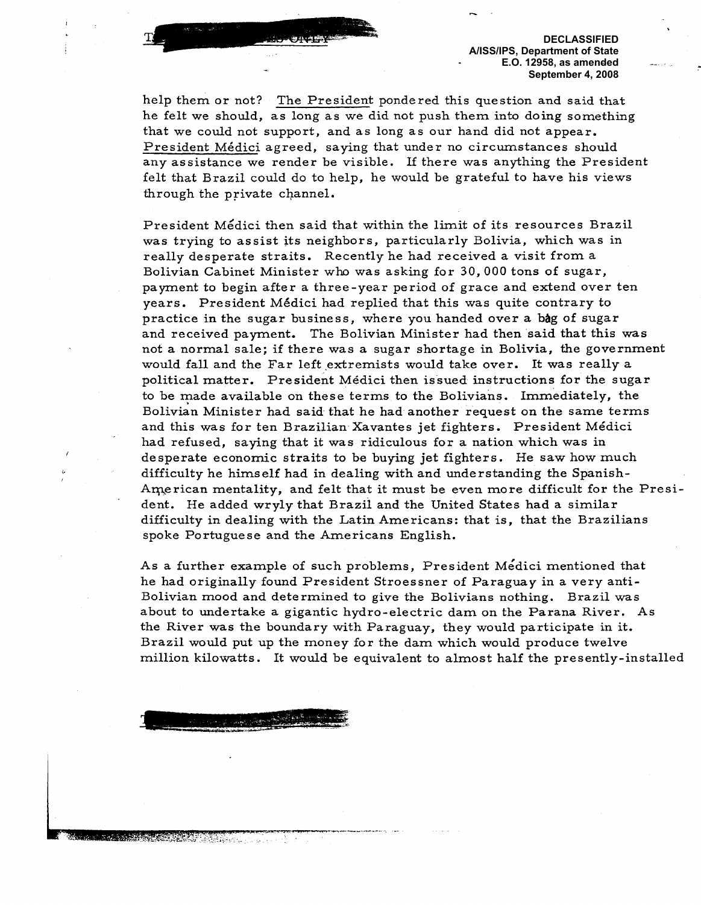help them or not? The President pondered this question and said that he felt we should, as long as we did not push them into doing something that we could not support, and as long as our hand did not appear. President Mëdici agreed, saying that under no circumstances should any assistance we render be visible. If there was anything the President felt that Brazil could do to help, he would be grateful to have his views through the private channel.

President Mëdici then said that within the limit of its resources Brazil was trying to assist its neighbors, particularly Bolivia, which was in really desperate straits. Recently he had received a visit from a Bolivian Cabinet Minister who was asking for 30, 000 tons of sugar, payment to begin after a three-year period of grace and extend over ten years. President Mëdici had replied that this was quite contrary to practice in the sugar business, where you handed over a bag of sugar and received payment. The Bolivian Minister had then said that this was not a normal sale; if there was a sugar shortage in Bolivia, the government would fall and the Far left extremists would take over. It was really a political matter. President Mëdici then issued instructions for the sugar to be made available on these terms to the Bolivians. Immediately, the Bolivian Minister had said- that he had another request on the same terms and this was for ten Brazilian Xavantes jet fighters. President Mëdici had refused, saying that it was ridiculous for a nation which was in desperate economic straits to be buying jet fighters. He saw how much difficulty he himself had in dealing with and understanding the Spanish-American mentality, and felt that it must be even more difficult for the President. He added wryly that Brazil and the United States had a similar difficulty in dealing with the Latin Americans: that is, that the Brazilians spoke Portuguese and the Americans English.

As a further example of such problems, President Mëdici mentioned that he had originally found President Stroessner of Paraguay in a very anti-Bolivian mood and determined to give the Bolivians nothing. Brazil was about to undertake a gigantic hydro-electric dam on the Parana River. As the River was the boundary with Paraguay, they would participate in it. Brazil would put up the money for the dam which would produce twelve million kilowatts. It would be equivalent to almost half the presently-installed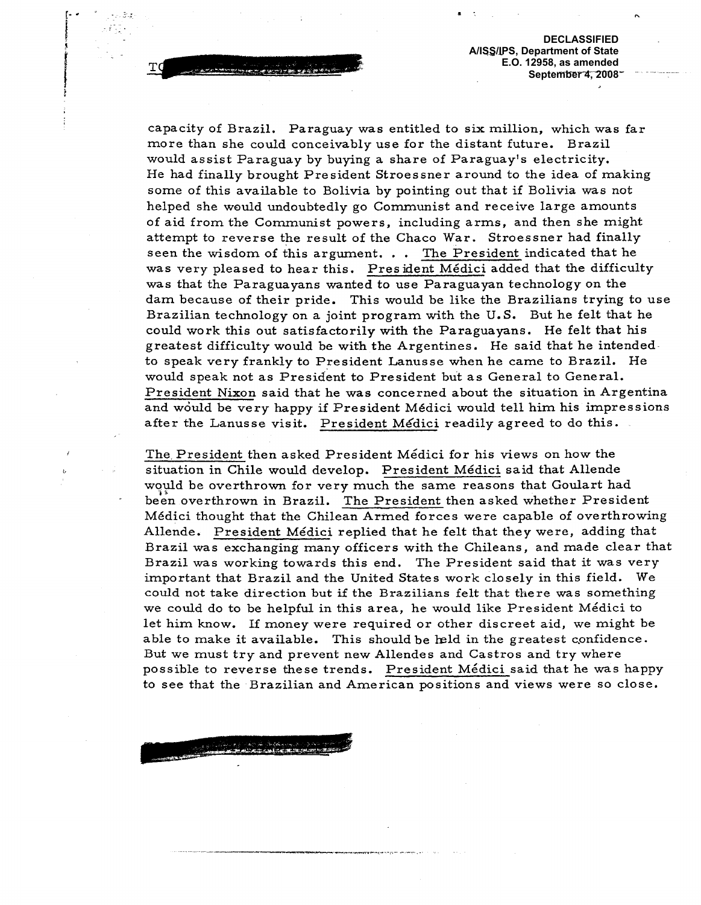capacity of Brazil. Paraguay was entitled to six million, which was far more than she could conceivably use for the distant future. Brazil would assist Paraguay by buying a share of Paraguay's electricity. He had finally brought President Stroessner around to the idea of making some of this available to Bolivia by pointing out that if Bolivia was not helped she would undoubtedly go Communist and receive large amounts of aid from the Communist powers, including arms, and then she might attempt to reverse the result of the Chaco War. Stroessner had finally seen the wisdom of this argument.  $\ldots$  The President indicated that he was very pleased to hear this. President Mëdici added that the difficulty was that the Paraguayans wanted to use Paraguayan technology on the dam because of their pride. This would be like the Brazilians trying to use Brazilian technology on a joint program with the U. S. But he felt that he could work this out satisfactorily with the Paraguayans. He felt that his greatest difficulty would be with the Argentines. He said that he intendedto speak very frankly to President Lanusse when he came to Brazil. He would speak not as President to President but as General to General. President Nixon said that he was concerned about the situation in Argentina and would be very happy if President Médici would tell him his impressions after the Lanusse visit. President Médici readily agreed to do this.

The, President then asked President Mëdici for his views on how the situation in Chile would develop. President Mëdici said that Allende would be overthrown for very much the same reasons that Goulart had been overthrown in Brazil. The President then asked whether President Mëdici thought that the Chilean Armed forces were capable of overthrowing Allende. President Mëdici replied that he felt that they were, adding that Brazil was exchanging many officers with the Chileans, and made clear that Brazil was working towards this end. The President said that it was very important that Brazil and the United States work closely in this field. We could not take direction but if the Brazilians felt that there was something we could do to be helpful in this area, he would like President Mëdici to let him know. If money were required or other discreet aid, we might be able to make it available. This should be held in the greatest confidence. But we must try and prevent new Allendes and Castros and try where possible to reverse these trends. President Mëdici said that he was happy to see that the Brazilian and American positions and views were so close.

An en de Adams Der.<br><del>Limate de la</del> calendra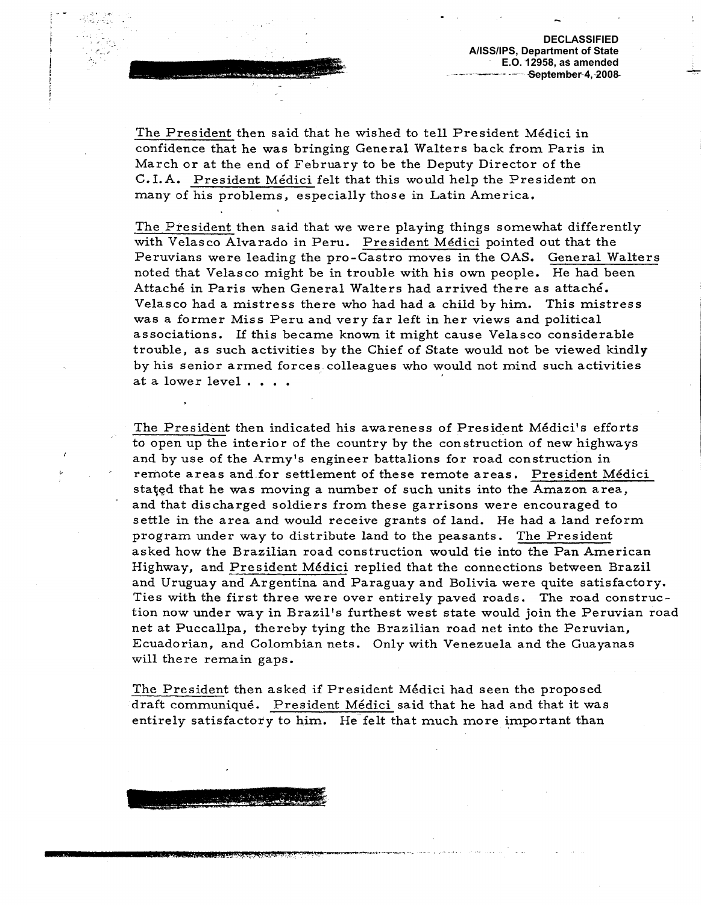**The President then said that he wished to tell President Mëdici in confidence that he was bringing General Walters back from Paris in March or at the end of February to be the Deputy Director of the C.I.A. President Mëdici felt that this would help the President on many of his problems, especially those in Latin America. '**

The Committee of the Committee of

**The President then said that we were playing things somewhat differently with Velasco Alvarado in Peru. President Mëdici pointed out that the Peruvians were leading the pro-Castro moves in the OAS. General Walters noted that Velasco might be in trouble with his own people. He had been Attache in Paris when General Walters had arrived there as attache. Velasco had a mistress there who had had a child by him. This mistress was a former Miss Peru and very far left in her views and political associations. if this became known it might cause Velasco considerable trouble, as such activities by the Chief of State would not be viewed kindly by his senior armed forces: colleagues who would not mind such activities at a lower level . . . .**

**The President then indicated his awareness of President Mëdici's efforts to open up the interior of the country by the construction of new highways and by use of the Army's engineer battalions for road construction in remote areas and.for settlement of these remote areas. President Mëdici st**<sup>а</sup> **ed that he was moving a number of such units into the Amazon area, and that discharged soldiers from these garrisons were encouraged to settle in the area and would receive grants of land. He had a land reform program under way to distribute land to the peasants. The President asked how the Brazilian road construction would tie into the Pan American Highway, and President Mëdici replied that the connections between Brazil and Uruguay and Argentina and Paraguay and Bolivia were quite satisfactory. Ties with the first three were over entirely paved roads. The road construction now under way in Brazil's furthest west state would join the Peruvian road net at Puccalipa, thereby tying the Brazilian road net into the Peruvian, Ecuadorian, and Colombian nets. Only with Venezuela and the Guayanas will there remain gaps.**

**The President then asked if President Mëdici had seen the proposed draft communique. President Mëdici said that he had and that it was entirely satisfactory to him. He felt that much more important than**